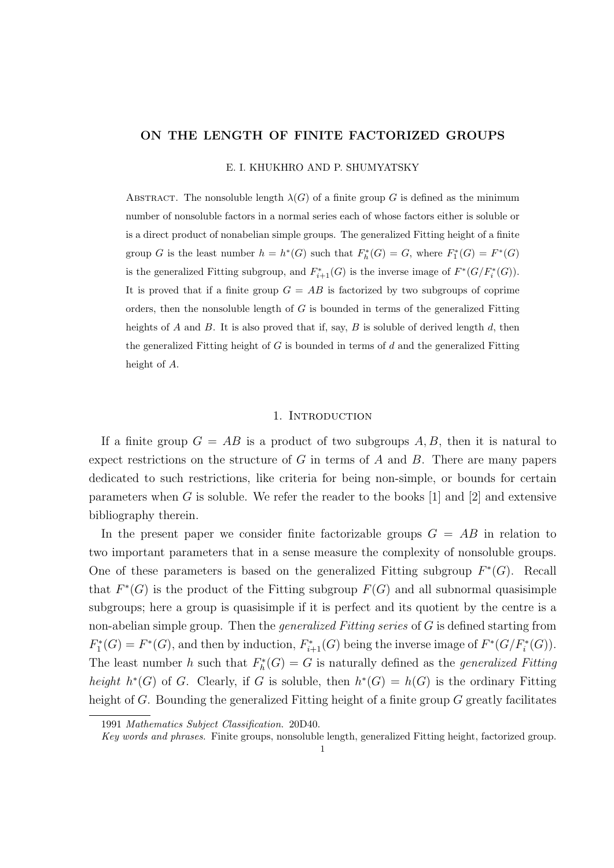## ON THE LENGTH OF FINITE FACTORIZED GROUPS

E. I. KHUKHRO AND P. SHUMYATSKY

ABSTRACT. The nonsoluble length  $\lambda(G)$  of a finite group G is defined as the minimum number of nonsoluble factors in a normal series each of whose factors either is soluble or is a direct product of nonabelian simple groups. The generalized Fitting height of a finite group G is the least number  $h = h^*(G)$  such that  $F_h^*(G) = G$ , where  $F_1^*(G) = F^*(G)$ is the generalized Fitting subgroup, and  $F_{i+1}^*(G)$  is the inverse image of  $F^*(G/F_i^*(G))$ . It is proved that if a finite group  $G = AB$  is factorized by two subgroups of coprime orders, then the nonsoluble length of  $G$  is bounded in terms of the generalized Fitting heights of A and B. It is also proved that if, say,  $B$  is soluble of derived length  $d$ , then the generalized Fitting height of  $G$  is bounded in terms of  $d$  and the generalized Fitting height of A.

## 1. INTRODUCTION

If a finite group  $G = AB$  is a product of two subgroups A, B, then it is natural to expect restrictions on the structure of G in terms of A and B. There are many papers dedicated to such restrictions, like criteria for being non-simple, or bounds for certain parameters when G is soluble. We refer the reader to the books  $[1]$  and  $[2]$  and extensive bibliography therein.

In the present paper we consider finite factorizable groups  $G = AB$  in relation to two important parameters that in a sense measure the complexity of nonsoluble groups. One of these parameters is based on the generalized Fitting subgroup  $F^*(G)$ . Recall that  $F^*(G)$  is the product of the Fitting subgroup  $F(G)$  and all subnormal quasisimple subgroups; here a group is quasisimple if it is perfect and its quotient by the centre is a non-abelian simple group. Then the *generalized Fitting series* of  $G$  is defined starting from  $F_1^*(G) = F^*(G)$ , and then by induction,  $F_{i+1}^*(G)$  being the inverse image of  $F^*(G/F_i^*(G))$ . The least number h such that  $F_h^*(G) = G$  is naturally defined as the *generalized Fitting* height  $h^*(G)$  of G. Clearly, if G is soluble, then  $h^*(G) = h(G)$  is the ordinary Fitting height of G. Bounding the generalized Fitting height of a finite group G greatly facilitates

<sup>1991</sup> Mathematics Subject Classification. 20D40.

Key words and phrases. Finite groups, nonsoluble length, generalized Fitting height, factorized group.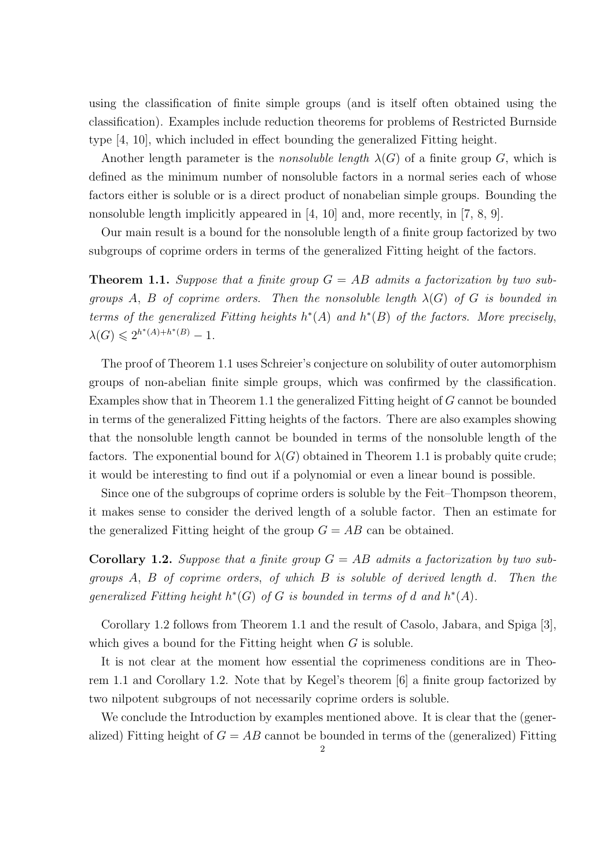using the classification of finite simple groups (and is itself often obtained using the classification). Examples include reduction theorems for problems of Restricted Burnside type [4, 10], which included in effect bounding the generalized Fitting height.

Another length parameter is the *nonsoluble length*  $\lambda(G)$  of a finite group G, which is defined as the minimum number of nonsoluble factors in a normal series each of whose factors either is soluble or is a direct product of nonabelian simple groups. Bounding the nonsoluble length implicitly appeared in [4, 10] and, more recently, in [7, 8, 9].

Our main result is a bound for the nonsoluble length of a finite group factorized by two subgroups of coprime orders in terms of the generalized Fitting height of the factors.

**Theorem 1.1.** Suppose that a finite group  $G = AB$  admits a factorization by two subgroups A, B of coprime orders. Then the nonsoluble length  $\lambda(G)$  of G is bounded in terms of the generalized Fitting heights  $h^*(A)$  and  $h^*(B)$  of the factors. More precisely,  $\lambda(G) \leq 2^{h^*(A) + h^*(B)} - 1.$ 

The proof of Theorem 1.1 uses Schreier's conjecture on solubility of outer automorphism groups of non-abelian finite simple groups, which was confirmed by the classification. Examples show that in Theorem 1.1 the generalized Fitting height of G cannot be bounded in terms of the generalized Fitting heights of the factors. There are also examples showing that the nonsoluble length cannot be bounded in terms of the nonsoluble length of the factors. The exponential bound for  $\lambda(G)$  obtained in Theorem 1.1 is probably quite crude; it would be interesting to find out if a polynomial or even a linear bound is possible.

Since one of the subgroups of coprime orders is soluble by the Feit–Thompson theorem, it makes sense to consider the derived length of a soluble factor. Then an estimate for the generalized Fitting height of the group  $G = AB$  can be obtained.

**Corollary 1.2.** Suppose that a finite group  $G = AB$  admits a factorization by two subgroups A, B of coprime orders, of which B is soluble of derived length d. Then the generalized Fitting height  $h^*(G)$  of G is bounded in terms of d and  $h^*(A)$ .

Corollary 1.2 follows from Theorem 1.1 and the result of Casolo, Jabara, and Spiga [3], which gives a bound for the Fitting height when  $G$  is soluble.

It is not clear at the moment how essential the coprimeness conditions are in Theorem 1.1 and Corollary 1.2. Note that by Kegel's theorem [6] a finite group factorized by two nilpotent subgroups of not necessarily coprime orders is soluble.

We conclude the Introduction by examples mentioned above. It is clear that the (generalized) Fitting height of  $G = AB$  cannot be bounded in terms of the (generalized) Fitting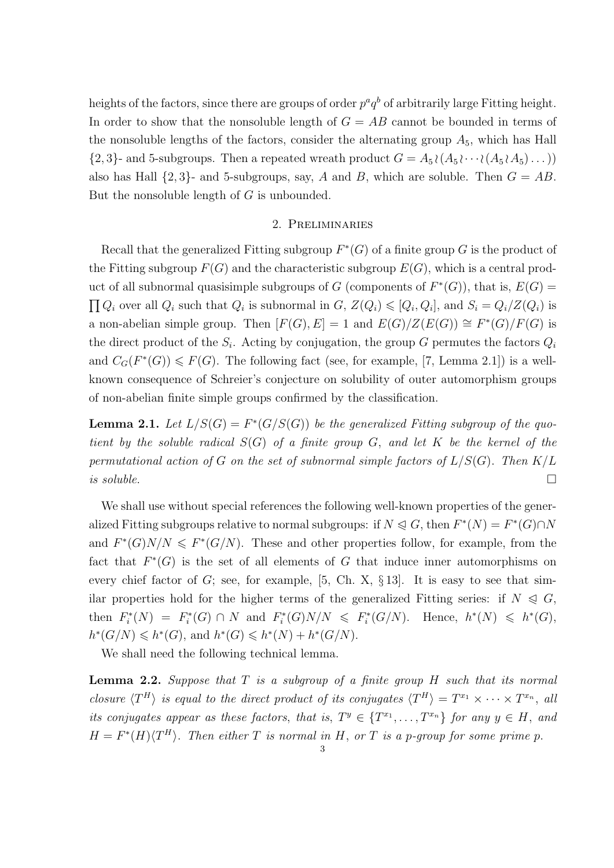heights of the factors, since there are groups of order  $p^a q^b$  of arbitrarily large Fitting height. In order to show that the nonsoluble length of  $G = AB$  cannot be bounded in terms of the nonsoluble lengths of the factors, consider the alternating group  $A_5$ , which has Hall  $\{2,3\}$ - and 5-subgroups. Then a repeated wreath product  $G = A_5 \{(A_5 \}\cdots \{(A_5 \{A_5 \}\dots)\})$ also has Hall  $\{2, 3\}$ - and 5-subgroups, say, A and B, which are soluble. Then  $G = AB$ . But the nonsoluble length of  $G$  is unbounded.

# 2. Preliminaries

Recall that the generalized Fitting subgroup  $F^*(G)$  of a finite group G is the product of the Fitting subgroup  $F(G)$  and the characteristic subgroup  $E(G)$ , which is a central product of all subnormal quasisimple subgroups of G (components of  $F^*(G)$ ), that is,  $E(G)$  =  $\prod Q_i$  over all  $Q_i$  such that  $Q_i$  is subnormal in  $G, Z(Q_i) \leq Q_i, Q_i$ , and  $S_i = Q_i/Z(Q_i)$  is a non-abelian simple group. Then  $[F(G), E] = 1$  and  $E(G)/Z(E(G)) \cong F^*(G)/F(G)$  is the direct product of the  $S_i$ . Acting by conjugation, the group G permutes the factors  $Q_i$ and  $C_G(F^*(G)) \leq F(G)$ . The following fact (see, for example, [7, Lemma 2.1]) is a wellknown consequence of Schreier's conjecture on solubility of outer automorphism groups of non-abelian finite simple groups confirmed by the classification.

**Lemma 2.1.** Let  $L/S(G) = F^*(G/S(G))$  be the generalized Fitting subgroup of the quotient by the soluble radical  $S(G)$  of a finite group G, and let K be the kernel of the permutational action of G on the set of subnormal simple factors of  $L/S(G)$ . Then  $K/L$ is soluble.  $\Box$ 

We shall use without special references the following well-known properties of the generalized Fitting subgroups relative to normal subgroups: if  $N \triangleleft G$ , then  $F^*(N) = F^*(G) \cap N$ and  $F^*(G)N/N \leq F^*(G/N)$ . These and other properties follow, for example, from the fact that  $F^*(G)$  is the set of all elements of G that induce inner automorphisms on every chief factor of  $G$ ; see, for example, [5, Ch. X, § 13]. It is easy to see that similar properties hold for the higher terms of the generalized Fitting series: if  $N \leqslant G$ , then  $F_i^*(N) = F_i^*(G) \cap N$  and  $F_i^*(G)N/N \leq F_i^*(G/N)$ . Hence,  $h^*(N) \leq h^*(G)$ ,  $h^*(G/N) \leq h^*(G)$ , and  $h^*(G) \leq h^*(N) + h^*(G/N)$ .

We shall need the following technical lemma.

**Lemma 2.2.** Suppose that  $T$  is a subgroup of a finite group  $H$  such that its normal closure  $\langle T^H \rangle$  is equal to the direct product of its conjugates  $\langle T^H \rangle = T^{x_1} \times \cdots \times T^{x_n}$ , all its conjugates appear as these factors, that is,  $T^y \in \{T^{x_1}, \ldots, T^{x_n}\}$  for any  $y \in H$ , and  $H = F^*(H)\langle T^H \rangle$ . Then either T is normal in H, or T is a p-group for some prime p.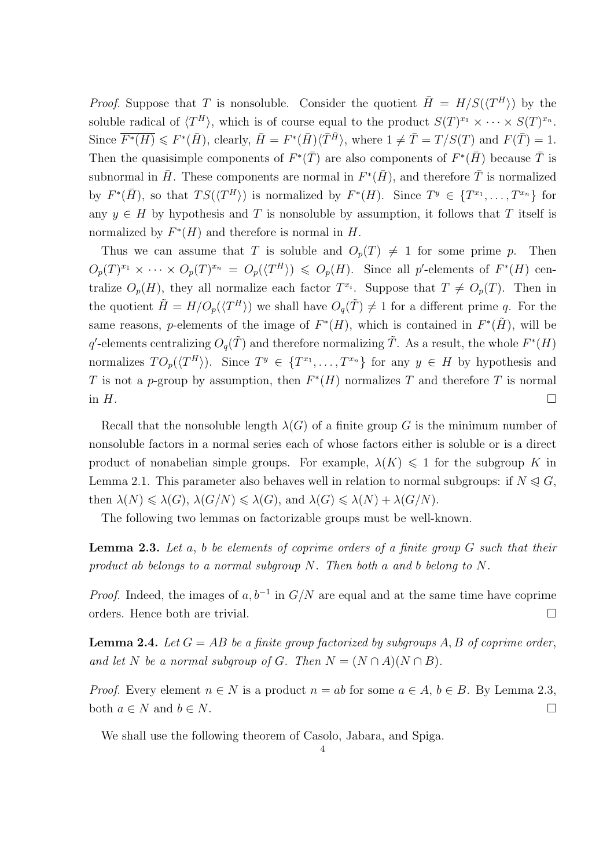*Proof.* Suppose that T is nonsoluble. Consider the quotient  $\bar{H} = H/S(\langle T^H \rangle)$  by the soluble radical of  $\langle T^H \rangle$ , which is of course equal to the product  $S(T)^{x_1} \times \cdots \times S(T)^{x_n}$ . Since  $\overline{F^*(H)} \leq F^*(\overline{H})$ , clearly,  $\overline{H} = F^*(\overline{H}) \langle \overline{T}^{\overline{H}} \rangle$ , where  $1 \neq \overline{T} = T/S(T)$  and  $F(\overline{T}) = 1$ . Then the quasisimple components of  $F^*(\bar{T})$  are also components of  $F^*(\bar{H})$  because  $\bar{T}$  is subnormal in  $\bar{H}$ . These components are normal in  $F^*(\bar{H})$ , and therefore  $\bar{T}$  is normalized by  $F^*(\bar{H})$ , so that  $TS(\langle T^H \rangle)$  is normalized by  $F^*(H)$ . Since  $T^y \in \{T^{x_1}, \ldots, T^{x_n}\}$  for any  $y \in H$  by hypothesis and T is nonsoluble by assumption, it follows that T itself is normalized by  $F^*(H)$  and therefore is normal in  $H$ .

Thus we can assume that T is soluble and  $O_p(T) \neq 1$  for some prime p. Then  $O_p(T)^{x_1} \times \cdots \times O_p(T)^{x_n} = O_p(\langle T^H \rangle) \leqslant O_p(H)$ . Since all p'-elements of  $F^*(H)$  centralize  $O_p(H)$ , they all normalize each factor  $T^{x_i}$ . Suppose that  $T \neq O_p(T)$ . Then in the quotient  $\tilde{H} = H/O_p(\langle T^H \rangle)$  we shall have  $O_q(\tilde{T}) \neq 1$  for a different prime q. For the same reasons, p-elements of the image of  $F^*(H)$ , which is contained in  $F^*(\tilde{H})$ , will be q'-elements centralizing  $O_q(\tilde{T})$  and therefore normalizing  $\tilde{T}$ . As a result, the whole  $F^*(H)$ normalizes  $TO_p(\langle T^H \rangle)$ . Since  $T^y \in \{T^{x_1}, \ldots, T^{x_n}\}$  for any  $y \in H$  by hypothesis and T is not a p-group by assumption, then  $F^*(H)$  normalizes T and therefore T is normal in  $H$ .

Recall that the nonsoluble length  $\lambda(G)$  of a finite group G is the minimum number of nonsoluble factors in a normal series each of whose factors either is soluble or is a direct product of nonabelian simple groups. For example,  $\lambda(K) \leq 1$  for the subgroup K in Lemma 2.1. This parameter also behaves well in relation to normal subgroups: if  $N \triangleleft G$ , then  $\lambda(N) \leq \lambda(G)$ ,  $\lambda(G/N) \leq \lambda(G)$ , and  $\lambda(G) \leq \lambda(N) + \lambda(G/N)$ .

The following two lemmas on factorizable groups must be well-known.

**Lemma 2.3.** Let  $a, b$  be elements of coprime orders of a finite group  $G$  such that their product ab belongs to a normal subgroup N. Then both a and b belong to N.

*Proof.* Indeed, the images of  $a, b^{-1}$  in  $G/N$  are equal and at the same time have coprime orders. Hence both are trivial.

**Lemma 2.4.** Let  $G = AB$  be a finite group factorized by subgroups A, B of coprime order, and let N be a normal subgroup of G. Then  $N = (N \cap A)(N \cap B)$ .

*Proof.* Every element  $n \in N$  is a product  $n = ab$  for some  $a \in A$ ,  $b \in B$ . By Lemma 2.3, both  $a \in N$  and  $b \in N$ .

We shall use the following theorem of Casolo, Jabara, and Spiga.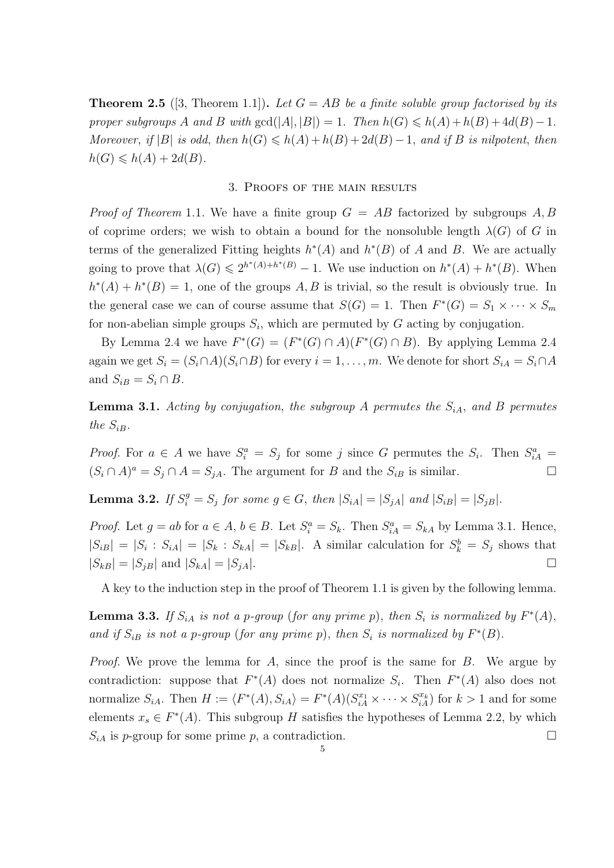**Theorem 2.5** ([3, Theorem 1.1]). Let  $G = AB$  be a finite soluble group factorised by its proper subgroups A and B with  $gcd(|A|, |B|) = 1$ . Then  $h(G) \leq h(A) + h(B) + 4d(B) - 1$ . Moreover, if  $|B|$  is odd, then  $h(G) \leq h(A) + h(B) + 2d(B) - 1$ , and if B is nilpotent, then  $h(G) \leq h(A) + 2d(B).$ 

## 3. Proofs of the main results

*Proof of Theorem* 1.1. We have a finite group  $G = AB$  factorized by subgroups A, B of coprime orders; we wish to obtain a bound for the nonsoluble length  $\lambda(G)$  of G in terms of the generalized Fitting heights  $h^*(A)$  and  $h^*(B)$  of A and B. We are actually going to prove that  $\lambda(G) \leq 2^{h^*(A)+h^*(B)} - 1$ . We use induction on  $h^*(A) + h^*(B)$ . When  $h^*(A) + h^*(B) = 1$ , one of the groups A, B is trivial, so the result is obviously true. In the general case we can of course assume that  $S(G) = 1$ . Then  $F^*(G) = S_1 \times \cdots \times S_m$ for non-abelian simple groups  $S_i$ , which are permuted by G acting by conjugation.

By Lemma 2.4 we have  $F^*(G) = (F^*(G) \cap A)(F^*(G) \cap B)$ . By applying Lemma 2.4 again we get  $S_i = (S_i \cap A)(S_i \cap B)$  for every  $i = 1, ..., m$ . We denote for short  $S_i A = S_i \cap A$ and  $S_{iB} = S_i \cap B$ .

**Lemma 3.1.** Acting by conjugation, the subgroup A permutes the  $S_{iA}$ , and B permutes the  $S_{iB}$ .

*Proof.* For  $a \in A$  we have  $S_i^a = S_j$  for some j since G permutes the  $S_i$ . Then  $S_{iA}^a =$  $(S_i \cap A)^a = S_j \cap A = S_{jA}$ . The argument for B and the  $S_{iB}$  is similar.

**Lemma 3.2.** If  $S_i^g = S_j$  for some  $g \in G$ , then  $|S_{iA}| = |S_{jA}|$  and  $|S_{iB}| = |S_{jB}|$ .

*Proof.* Let  $g = ab$  for  $a \in A$ ,  $b \in B$ . Let  $S_i^a = S_k$ . Then  $S_{iA}^a = S_{kA}$  by Lemma 3.1. Hence,  $|S_{iB}| = |S_i : S_{iA}| = |S_k : S_{kA}| = |S_{kB}|$ . A similar calculation for  $S_k^b = S_j$  shows that  $|S_{kB}| = |S_{jB}|$  and  $|S_{kA}| = |S_{jA}|$ .

A key to the induction step in the proof of Theorem 1.1 is given by the following lemma.

**Lemma 3.3.** If  $S_{iA}$  is not a p-group (for any prime p), then  $S_i$  is normalized by  $F^*(A)$ , and if  $S_{iB}$  is not a p-group (for any prime p), then  $S_i$  is normalized by  $F^*(B)$ .

*Proof.* We prove the lemma for A, since the proof is the same for  $B$ . We argue by contradiction: suppose that  $F^*(A)$  does not normalize  $S_i$ . Then  $F^*(A)$  also does not normalize  $S_{iA}$ . Then  $H := \langle F^*(A), S_{iA} \rangle = F^*(A)(S_{iA}^{x_1} \times \cdots \times S_{iA}^{x_k})$  for  $k > 1$  and for some elements  $x_s \in F^*(A)$ . This subgroup H satisfies the hypotheses of Lemma 2.2, by which  $S_{iA}$  is p-group for some prime p, a contradiction.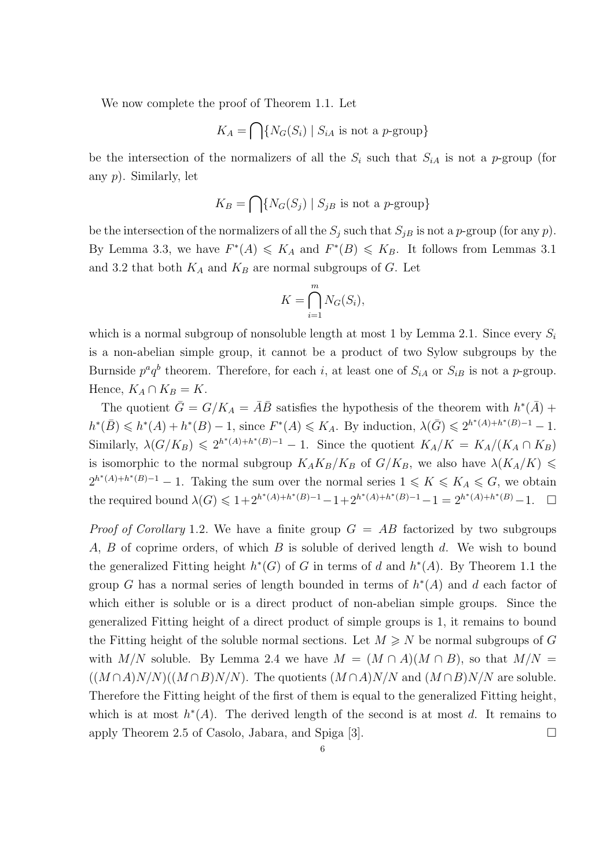We now complete the proof of Theorem 1.1. Let

$$
K_A = \bigcap \{ N_G(S_i) \mid S_{iA} \text{ is not a } p\text{-group} \}
$$

be the intersection of the normalizers of all the  $S_i$  such that  $S_{iA}$  is not a p-group (for any p). Similarly, let

$$
K_B = \bigcap \{ N_G(S_j) \mid S_{jB} \text{ is not a } p\text{-group} \}
$$

be the intersection of the normalizers of all the  $S_i$  such that  $S_i$  is not a p-group (for any p). By Lemma 3.3, we have  $F^*(A) \leq K_A$  and  $F^*(B) \leq K_B$ . It follows from Lemmas 3.1 and 3.2 that both  $K_A$  and  $K_B$  are normal subgroups of G. Let

$$
K = \bigcap_{i=1}^{m} N_G(S_i),
$$

which is a normal subgroup of nonsoluble length at most 1 by Lemma 2.1. Since every  $S_i$ is a non-abelian simple group, it cannot be a product of two Sylow subgroups by the Burnside  $p^a q^b$  theorem. Therefore, for each i, at least one of  $S_{iA}$  or  $S_{iB}$  is not a p-group. Hence,  $K_A \cap K_B = K$ .

The quotient  $\bar{G} = G/K_A = \bar{A}\bar{B}$  satisfies the hypothesis of the theorem with  $h^*(\bar{A})$  +  $h^*(\bar{B}) \leq h^*(A) + h^*(B) - 1$ , since  $F^*(A) \leq K_A$ . By induction,  $\lambda(\bar{G}) \leq 2^{h^*(A) + h^*(B) - 1} - 1$ . Similarly,  $\lambda(G/K_B) \leq 2^{h^*(A)+h^*(B)-1} - 1$ . Since the quotient  $K_A/K = K_A/(K_A \cap K_B)$ is isomorphic to the normal subgroup  $K_A K_B / K_B$  of  $G / K_B$ , we also have  $\lambda (K_A/K) \leq$  $2^{h^*(A)+h^*(B)-1}-1$ . Taking the sum over the normal series  $1 \leqslant K \leqslant K_A \leqslant G$ , we obtain the required bound  $\lambda(G) \leq 1 + 2^{h^*(A) + h^*(B) - 1} - 1 + 2^{h^*(A) + h^*(B) - 1} - 1 = 2^{h^*(A) + h^*(B)} - 1.$ 

*Proof of Corollary* 1.2. We have a finite group  $G = AB$  factorized by two subgroups A, B of coprime orders, of which B is soluble of derived length d. We wish to bound the generalized Fitting height  $h^*(G)$  of G in terms of d and  $h^*(A)$ . By Theorem 1.1 the group G has a normal series of length bounded in terms of  $h^*(A)$  and d each factor of which either is soluble or is a direct product of non-abelian simple groups. Since the generalized Fitting height of a direct product of simple groups is 1, it remains to bound the Fitting height of the soluble normal sections. Let  $M \ge N$  be normal subgroups of G with M/N soluble. By Lemma 2.4 we have  $M = (M \cap A)(M \cap B)$ , so that  $M/N =$  $((M \cap A)N/N)((M \cap B)N/N)$ . The quotients  $(M \cap A)N/N$  and  $(M \cap B)N/N$  are soluble. Therefore the Fitting height of the first of them is equal to the generalized Fitting height, which is at most  $h^*(A)$ . The derived length of the second is at most d. It remains to apply Theorem 2.5 of Casolo, Jabara, and Spiga [3].  $\Box$